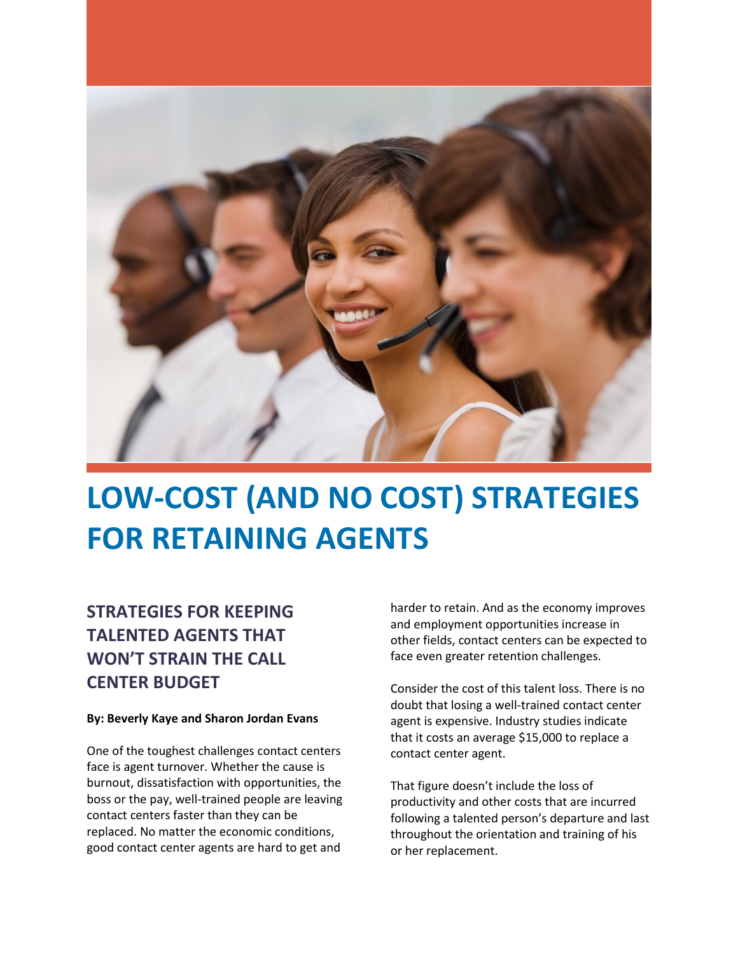

# **LOW-COST (AND NO COST) STRATEGIES FOR RETAINING AGENTS**

## **STRATEGIES FOR KEEPING TALENTED AGENTS THAT WON'T STRAIN THE CALL CENTER BUDGET**

#### **By: Beverly Kaye and Sharon Jordan Evans**

One of the toughest challenges contact centers face is agent turnover. Whether the cause is burnout, dissatisfaction with opportunities, the boss or the pay, well-trained people are leaving contact centers faster than they can be replaced. No matter the economic conditions, good contact center agents are hard to get and

harder to retain. And as the economy improves and employment opportunities increase in other fields, contact centers can be expected to face even greater retention challenges.

Consider the cost of this talent loss. There is no doubt that losing a well-trained contact center agent is expensive. Industry studies indicate that it costs an average \$15,000 to replace a contact center agent.

That figure doesn't include the loss of productivity and other costs that are incurred following a talented person's departure and last throughout the orientation and training of his or her replacement.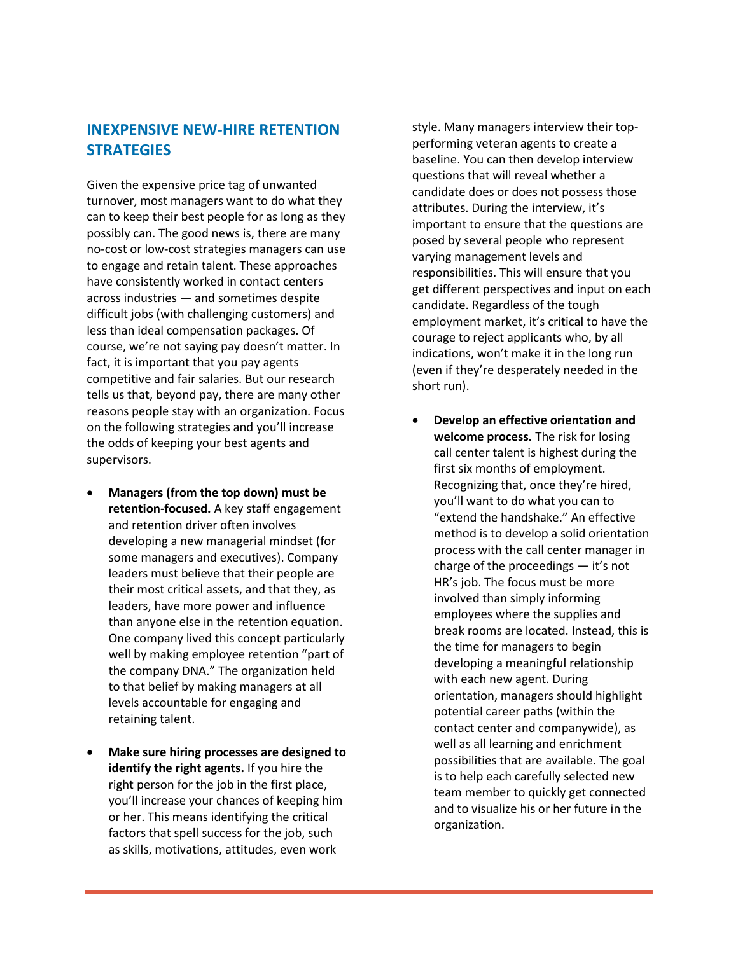#### **INEXPENSIVE NEW-HIRE RETENTION STRATEGIES**

Given the expensive price tag of unwanted turnover, most managers want to do what they can to keep their best people for as long as they possibly can. The good news is, there are many no-cost or low-cost strategies managers can use to engage and retain talent. These approaches have consistently worked in contact centers across industries — and sometimes despite difficult jobs (with challenging customers) and less than ideal compensation packages. Of course, we're not saying pay doesn't matter. In fact, it is important that you pay agents competitive and fair salaries. But our research tells us that, beyond pay, there are many other reasons people stay with an organization. Focus on the following strategies and you'll increase the odds of keeping your best agents and supervisors.

- **Managers (from the top down) must be retention-focused.** A key staff engagement and retention driver often involves developing a new managerial mindset (for some managers and executives). Company leaders must believe that their people are their most critical assets, and that they, as leaders, have more power and influence than anyone else in the retention equation. One company lived this concept particularly well by making employee retention "part of the company DNA." The organization held to that belief by making managers at all levels accountable for engaging and retaining talent.
- **Make sure hiring processes are designed to identify the right agents.** If you hire the right person for the job in the first place, you'll increase your chances of keeping him or her. This means identifying the critical factors that spell success for the job, such as skills, motivations, attitudes, even work

style. Many managers interview their topperforming veteran agents to create a baseline. You can then develop interview questions that will reveal whether a candidate does or does not possess those attributes. During the interview, it's important to ensure that the questions are posed by several people who represent varying management levels and responsibilities. This will ensure that you get different perspectives and input on each candidate. Regardless of the tough employment market, it's critical to have the courage to reject applicants who, by all indications, won't make it in the long run (even if they're desperately needed in the short run).

 **Develop an effective orientation and welcome process.** The risk for losing call center talent is highest during the first six months of employment. Recognizing that, once they're hired, you'll want to do what you can to "extend the handshake." An effective method is to develop a solid orientation process with the call center manager in charge of the proceedings — it's not HR's job. The focus must be more involved than simply informing employees where the supplies and break rooms are located. Instead, this is the time for managers to begin developing a meaningful relationship with each new agent. During orientation, managers should highlight potential career paths (within the contact center and companywide), as well as all learning and enrichment possibilities that are available. The goal is to help each carefully selected new team member to quickly get connected and to visualize his or her future in the organization.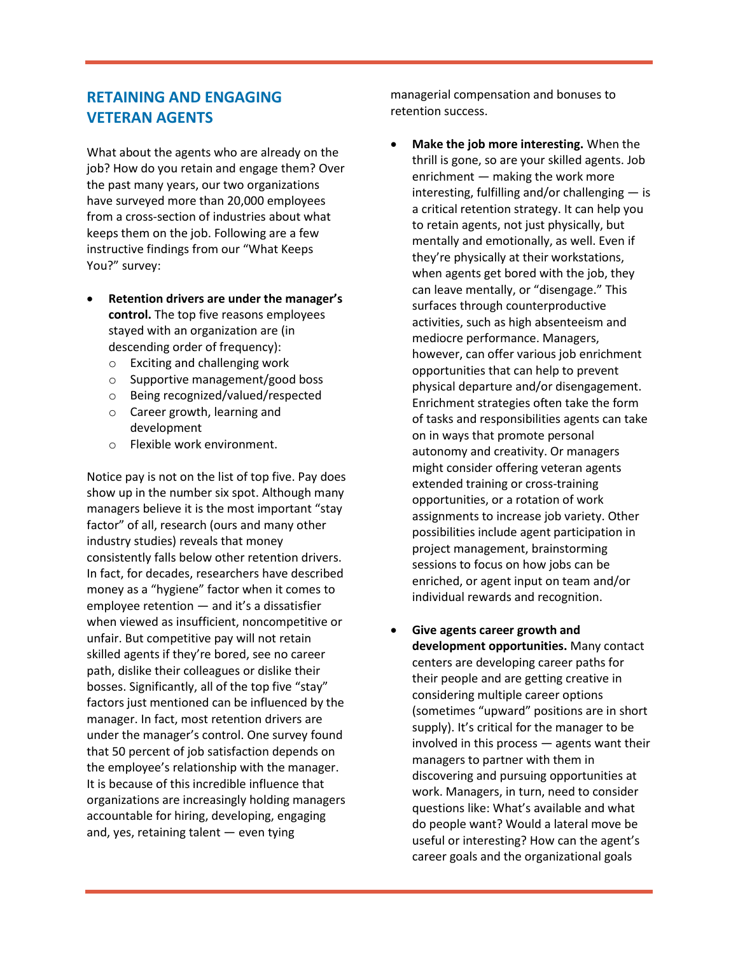### **RETAINING AND ENGAGING VETERAN AGENTS**

What about the agents who are already on the job? How do you retain and engage them? Over the past many years, our two organizations have surveyed more than 20,000 employees from a cross-section of industries about what keeps them on the job. Following are a few instructive findings from our "What Keeps You?" survey:

- **Retention drivers are under the manager's control.** The top five reasons employees stayed with an organization are (in descending order of frequency):
	- o Exciting and challenging work
	- o Supportive management/good boss
	- o Being recognized/valued/respected
	- o Career growth, learning and development
	- o Flexible work environment.

Notice pay is not on the list of top five. Pay does show up in the number six spot. Although many managers believe it is the most important "stay factor" of all, research (ours and many other industry studies) reveals that money consistently falls below other retention drivers. In fact, for decades, researchers have described money as a "hygiene" factor when it comes to employee retention — and it's a dissatisfier when viewed as insufficient, noncompetitive or unfair. But competitive pay will not retain skilled agents if they're bored, see no career path, dislike their colleagues or dislike their bosses. Significantly, all of the top five "stay" factors just mentioned can be influenced by the manager. In fact, most retention drivers are under the manager's control. One survey found that 50 percent of job satisfaction depends on the employee's relationship with the manager. It is because of this incredible influence that organizations are increasingly holding managers accountable for hiring, developing, engaging and, yes, retaining talent — even tying

managerial compensation and bonuses to retention success.

- **Make the job more interesting.** When the thrill is gone, so are your skilled agents. Job enrichment — making the work more interesting, fulfilling and/or challenging — is a critical retention strategy. It can help you to retain agents, not just physically, but mentally and emotionally, as well. Even if they're physically at their workstations, when agents get bored with the job, they can leave mentally, or "disengage." This surfaces through counterproductive activities, such as high absenteeism and mediocre performance. Managers, however, can offer various job enrichment opportunities that can help to prevent physical departure and/or disengagement. Enrichment strategies often take the form of tasks and responsibilities agents can take on in ways that promote personal autonomy and creativity. Or managers might consider offering veteran agents extended training or cross-training opportunities, or a rotation of work assignments to increase job variety. Other possibilities include agent participation in project management, brainstorming sessions to focus on how jobs can be enriched, or agent input on team and/or individual rewards and recognition.
- **Give agents career growth and development opportunities.** Many contact centers are developing career paths for their people and are getting creative in considering multiple career options (sometimes "upward" positions are in short supply). It's critical for the manager to be involved in this process — agents want their managers to partner with them in discovering and pursuing opportunities at work. Managers, in turn, need to consider questions like: What's available and what do people want? Would a lateral move be useful or interesting? How can the agent's career goals and the organizational goals